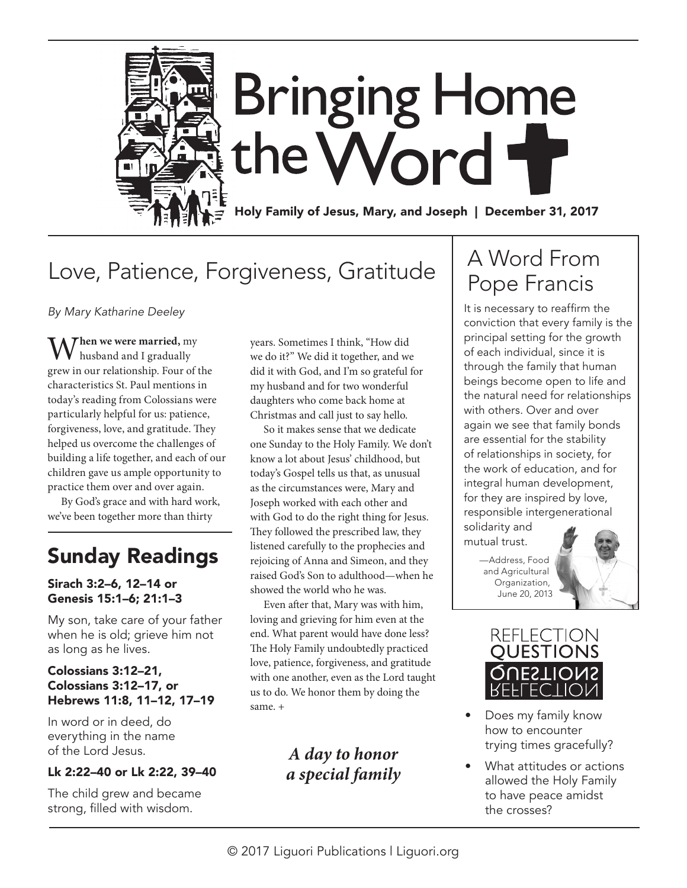

# Love, Patience, Forgiveness, Gratitude

*By Mary Katharine Deeley*

When we were married, my<br>husband and I gradually grew in our relationship. Four of the characteristics St. Paul mentions in today's reading from Colossians were particularly helpful for us: patience, forgiveness, love, and gratitude. They helped us overcome the challenges of building a life together, and each of our children gave us ample opportunity to practice them over and over again.

By God's grace and with hard work, we've been together more than thirty

## Sunday Readings

### Sirach 3:2–6, 12–14 or Genesis 15:1–6; 21:1–3

My son, take care of your father when he is old; grieve him not as long as he lives.

#### Colossians 3:12–21, Colossians 3:12–17, or Hebrews 11:8, 11–12, 17–19

In word or in deed, do everything in the name of the Lord Jesus.

#### Lk 2:22–40 or Lk 2:22, 39–40

The child grew and became strong, filled with wisdom.

years. Sometimes I think, "How did we do it?" We did it together, and we did it with God, and I'm so grateful for my husband and for two wonderful daughters who come back home at Christmas and call just to say hello.

So it makes sense that we dedicate one Sunday to the Holy Family. We don't know a lot about Jesus' childhood, but today's Gospel tells us that, as unusual as the circumstances were, Mary and Joseph worked with each other and with God to do the right thing for Jesus. They followed the prescribed law, they listened carefully to the prophecies and rejoicing of Anna and Simeon, and they raised God's Son to adulthood—when he showed the world who he was.

Even after that, Mary was with him, loving and grieving for him even at the end. What parent would have done less? The Holy Family undoubtedly practiced love, patience, forgiveness, and gratitude with one another, even as the Lord taught us to do. We honor them by doing the same. +

### *A day to honor a special family*

### A Word From Pope Francis

It is necessary to reaffirm the conviction that every family is the principal setting for the growth of each individual, since it is through the family that human beings become open to life and the natural need for relationships with others. Over and over again we see that family bonds are essential for the stability of relationships in society, for the work of education, and for integral human development, for they are inspired by love, responsible intergenerational

solidarity and mutual trust.

> —Address, Food and Agricultural Organization, June 20, 2013





- Does my family know how to encounter trying times gracefully?
- What attitudes or actions allowed the Holy Family to have peace amidst the crosses?